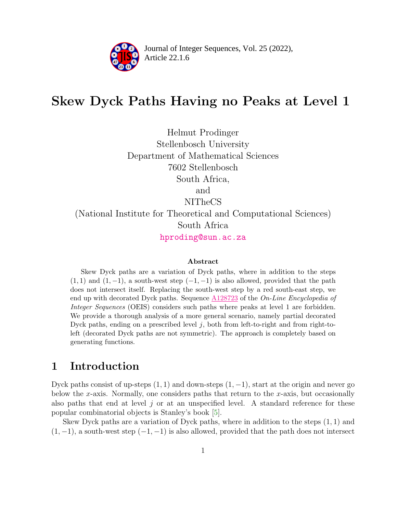

Article 22.1.6 **<sup>2</sup>** Journal of Integer Sequences, Vol. 25 (2022),

# Skew Dyck Paths Having no Peaks at Level 1

Helmut Prodinger Stellenbosch University Department of Mathematical Sciences 7602 Stellenbosch South Africa, and NITheCS (National Institute for Theoretical and Computational Sciences) South Africa [hproding@sun.ac.za](mailto:hproding@sun.ac.za)

#### Abstract

Skew Dyck paths are a variation of Dyck paths, where in addition to the steps  $(1, 1)$  and  $(1, -1)$ , a south-west step  $(-1, -1)$  is also allowed, provided that the path does not intersect itself. Replacing the south-west step by a red south-east step, we end up with decorated Dyck paths. Sequence  $A128723$  of the On-Line Encyclopedia of Integer Sequences (OEIS) considers such paths where peaks at level 1 are forbidden. We provide a thorough analysis of a more general scenario, namely partial decorated Dyck paths, ending on a prescribed level  $j$ , both from left-to-right and from right-toleft (decorated Dyck paths are not symmetric). The approach is completely based on generating functions.

### 1 Introduction

Dyck paths consist of up-steps  $(1, 1)$  and down-steps  $(1, -1)$ , start at the origin and never go below the x-axis. Normally, one considers paths that return to the  $x$ -axis, but occasionally also paths that end at level  $j$  or at an unspecified level. A standard reference for these popular combinatorial objects is Stanley's book [\[5\]](#page-8-0).

Skew Dyck paths are a variation of Dyck paths, where in addition to the steps  $(1, 1)$  and  $(1, -1)$ , a south-west step  $(-1, -1)$  is also allowed, provided that the path does not intersect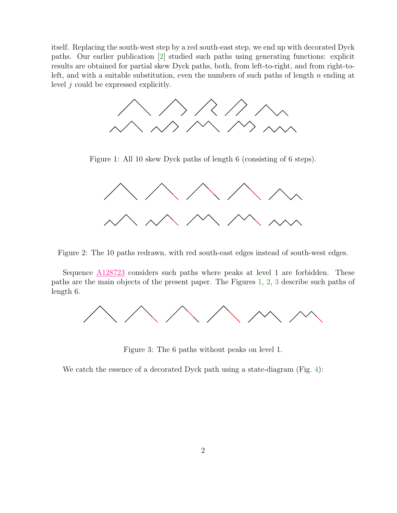itself. Replacing the south-west step by a red south-east step, we end up with decorated Dyck paths. Our earlier publication [\[2\]](#page-8-1) studied such paths using generating functions: explicit results are obtained for partial skew Dyck paths, both, from left-to-right, and from right-toleft, and with a suitable substitution, even the numbers of such paths of length  $n$  ending at level  $j$  could be expressed explicitly.



<span id="page-1-0"></span>Figure 1: All 10 skew Dyck paths of length 6 (consisting of 6 steps).



<span id="page-1-1"></span>Figure 2: The 10 paths redrawn, with red south-east edges instead of south-west edges.

Sequence [A128723](https://oeis.org/A128723) considers such paths where peaks at level 1 are forbidden. These paths are the main objects of the present paper. The Figures [1,](#page-1-0) [2,](#page-1-1) [3](#page-1-2) describe such paths of length 6.



<span id="page-1-2"></span>Figure 3: The 6 paths without peaks on level 1.

We catch the essence of a decorated Dyck path using a state-diagram (Fig. [4\)](#page-2-0):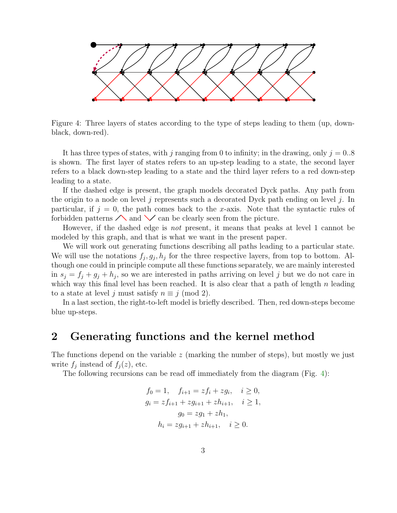

<span id="page-2-0"></span>Figure 4: Three layers of states according to the type of steps leading to them (up, downblack, down-red).

It has three types of states, with j ranging from 0 to infinity; in the drawing, only  $j = 0.8$ is shown. The first layer of states refers to an up-step leading to a state, the second layer refers to a black down-step leading to a state and the third layer refers to a red down-step leading to a state.

If the dashed edge is present, the graph models decorated Dyck paths. Any path from the origin to a node on level j represents such a decorated Dyck path ending on level j. In particular, if  $j = 0$ , the path comes back to the x-axis. Note that the syntactic rules of forbidden patterns  $\triangle$  and  $\vee$  can be clearly seen from the picture.

However, if the dashed edge is *not* present, it means that peaks at level 1 cannot be modeled by this graph, and that is what we want in the present paper.

We will work out generating functions describing all paths leading to a particular state. We will use the notations  $f_j, g_j, h_j$  for the three respective layers, from top to bottom. Although one could in principle compute all these functions separately, we are mainly interested in  $s_j = f_j + g_j + h_j$ , so we are interested in paths arriving on level j but we do not care in which way this final level has been reached. It is also clear that a path of length  $n$  leading to a state at level j must satisfy  $n \equiv j \pmod{2}$ .

In a last section, the right-to-left model is briefly described. Then, red down-steps become blue up-steps.

### 2 Generating functions and the kernel method

The functions depend on the variable  $z$  (marking the number of steps), but mostly we just write  $f_j$  instead of  $f_j(z)$ , etc.

The following recursions can be read off immediately from the diagram (Fig. [4\)](#page-2-0):

$$
f_0 = 1, \quad f_{i+1} = z f_i + z g_i, \quad i \ge 0,
$$
  
\n
$$
g_i = z f_{i+1} + z g_{i+1} + z h_{i+1}, \quad i \ge 1,
$$
  
\n
$$
g_0 = z g_1 + z h_1,
$$
  
\n
$$
h_i = z g_{i+1} + z h_{i+1}, \quad i \ge 0.
$$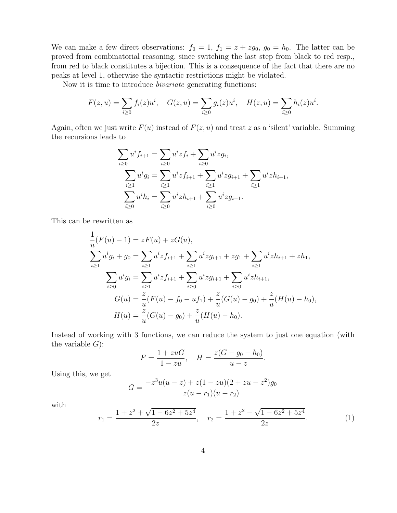We can make a few direct observations:  $f_0 = 1$ ,  $f_1 = z + zg_0$ ,  $g_0 = h_0$ . The latter can be proved from combinatorial reasoning, since switching the last step from black to red resp., from red to black constitutes a bijection. This is a consequence of the fact that there are no peaks at level 1, otherwise the syntactic restrictions might be violated.

Now it is time to introduce *bivariate* generating functions:

$$
F(z, u) = \sum_{i \ge 0} f_i(z)u^i, \quad G(z, u) = \sum_{i \ge 0} g_i(z)u^i, \quad H(z, u) = \sum_{i \ge 0} h_i(z)u^i.
$$

Again, often we just write  $F(u)$  instead of  $F(z, u)$  and treat z as a 'silent' variable. Summing the recursions leads to

$$
\sum_{i\geq 0} u^i f_{i+1} = \sum_{i\geq 0} u^i z f_i + \sum_{i\geq 0} u^i z g_i,
$$
  

$$
\sum_{i\geq 1} u^i g_i = \sum_{i\geq 1} u^i z f_{i+1} + \sum_{i\geq 1} u^i z g_{i+1} + \sum_{i\geq 1} u^i z h_{i+1},
$$
  

$$
\sum_{i\geq 0} u^i h_i = \sum_{i\geq 0} u^i z h_{i+1} + \sum_{i\geq 0} u^i z g_{i+1}.
$$

This can be rewritten as

$$
\frac{1}{u}(F(u) - 1) = zF(u) + zG(u),
$$
\n
$$
\sum_{i\geq 1} u^i g_i + g_0 = \sum_{i\geq 1} u^i z f_{i+1} + \sum_{i\geq 1} u^i z g_{i+1} + z g_1 + \sum_{i\geq 1} u^i z h_{i+1} + z h_1,
$$
\n
$$
\sum_{i\geq 0} u^i g_i = \sum_{i\geq 1} u^i z f_{i+1} + \sum_{i\geq 0} u^i z g_{i+1} + \sum_{i\geq 0} u^i z h_{i+1},
$$
\n
$$
G(u) = \frac{z}{u}(F(u) - f_0 - uf_1) + \frac{z}{u}(G(u) - g_0) + \frac{z}{u}(H(u) - h_0),
$$
\n
$$
H(u) = \frac{z}{u}(G(u) - g_0) + \frac{z}{u}(H(u) - h_0).
$$

Instead of working with 3 functions, we can reduce the system to just one equation (with the variable  $G$ :

$$
F = \frac{1 + zuG}{1 - zu}, \quad H = \frac{z(G - g_0 - h_0)}{u - z}.
$$

Using this, we get

$$
G = \frac{-z^3u(u-z) + z(1-zu)(2+zu-z^2)g_0}{z(u-r_1)(u-r_2)}
$$

with

<span id="page-3-0"></span>
$$
r_1 = \frac{1 + z^2 + \sqrt{1 - 6z^2 + 5z^4}}{2z}, \quad r_2 = \frac{1 + z^2 - \sqrt{1 - 6z^2 + 5z^4}}{2z}.
$$
 (1)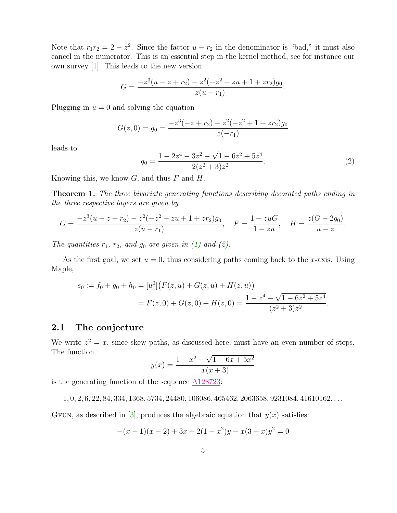Note that  $r_1r_2 = 2 - z^2$ . Since the factor  $u - r_2$  in the denominator is "bad," it must also cancel in the numerator. This is an essential step in the kernel method, see for instance our own survey [\[1\]](#page-8-2). This leads to the new version

$$
G = \frac{-z^3(u-z+r_2) - z^2(-z^2+zu+1+zr_2)g_0}{z(u-r_1)}
$$

Plugging in  $u = 0$  and solving the equation

$$
G(z, 0) = g_0 = \frac{-z^3(-z + r_2) - z^2(-z^2 + 1 + zr_2)g_0}{z(-r_1)}
$$

leads to

<span id="page-4-0"></span>
$$
g_0 = \frac{1 - 2z^4 - 3z^2 - \sqrt{1 - 6z^2 + 5z^4}}{2(z^2 + 3)z^2}.
$$
 (2)

.

Knowing this, we know  $G$ , and thus  $F$  and  $H$ .

Theorem 1. *The three bivariate generating functions describing decorated paths ending in the three respective layers are given by*

$$
G = \frac{-z^3(u-z+r_2) - z^2(-z^2+zu+1+zr_2)g_0}{z(u-r_1)}, \quad F = \frac{1+zuG}{1-zu}, \quad H = \frac{z(G-2g_0)}{u-z}.
$$

*The quantities*  $r_1$ ,  $r_2$ , and  $g_0$  are given in [\(1\)](#page-3-0) and [\(2\)](#page-4-0).

As the first goal, we set  $u = 0$ , thus considering paths coming back to the x-axis. Using Maple,

$$
s_0 := f_0 + g_0 + h_0 = [u^0] (F(z, u) + G(z, u) + H(z, u))
$$
  
=  $F(z, 0) + G(z, 0) + H(z, 0) = \frac{1 - z^4 - \sqrt{1 - 6z^2 + 5z^4}}{(z^2 + 3)z^2}.$ 

#### 2.1 The conjecture

We write  $z^2 = x$ , since skew paths, as discussed here, must have an even number of steps. The function

$$
y(x) = \frac{1 - x^2 - \sqrt{1 - 6x + 5x^2}}{x(x+3)}
$$

is the generating function of the sequence [A128723:](https://oeis.org/A128723)

 $1, 0, 2, 6, 22, 84, 334, 1368, 5734, 24480, 106086, 465462, 2063658, 9231084, 41610162, \ldots$ 

GFUN, as described in [\[3\]](#page-8-3), produces the algebraic equation that  $y(x)$  satisfies:

$$
-(x-1)(x-2) + 3x + 2(1 - x2)y - x(3 + x)y2 = 0
$$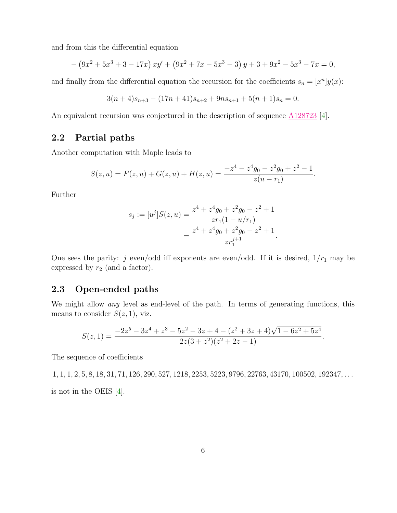and from this the differential equation

$$
- (9x2 + 5x3 + 3 - 17x) xy' + (9x2 + 7x - 5x3 - 3) y + 3 + 9x2 - 5x3 - 7x = 0,
$$

and finally from the differential equation the recursion for the coefficients  $s_n = [x^n]y(x)$ :

$$
3(n+4)s_{n+3} - (17n+41)s_{n+2} + 9ns_{n+1} + 5(n+1)s_n = 0.
$$

An equivalent recursion was conjectured in the description of sequence  $\underline{\text{A128723}}$  $\underline{\text{A128723}}$  $\underline{\text{A128723}}$  [\[4\]](#page-8-4).

### 2.2 Partial paths

Another computation with Maple leads to

$$
S(z, u) = F(z, u) + G(z, u) + H(z, u) = \frac{-z^4 - z^4 g_0 - z^2 g_0 + z^2 - 1}{z(u - r_1)}.
$$

Further

$$
s_j := [u^j]S(z, u) = \frac{z^4 + z^4 g_0 + z^2 g_0 - z^2 + 1}{z r_1 (1 - u/r_1)}
$$
  
= 
$$
\frac{z^4 + z^4 g_0 + z^2 g_0 - z^2 + 1}{z r_1^{j+1}}.
$$

One sees the parity: j even/odd iff exponents are even/odd. If it is desired,  $1/r_1$  may be expressed by  $r_2$  (and a factor).

#### 2.3 Open-ended paths

We might allow *any* level as end-level of the path. In terms of generating functions, this means to consider  $S(z, 1)$ , viz.

$$
S(z, 1) = \frac{-2z^5 - 3z^4 + z^3 - 5z^2 - 3z + 4 - (z^2 + 3z + 4)\sqrt{1 - 6z^2 + 5z^4}}{2z(3 + z^2)(z^2 + 2z - 1)}.
$$

The sequence of coefficients

 $1, 1, 1, 2, 5, 8, 18, 31, 71, 126, 290, 527, 1218, 2253, 5223, 9796, 22763, 43170, 100502, 192347, \ldots$ is not in the OEIS [\[4\]](#page-8-4).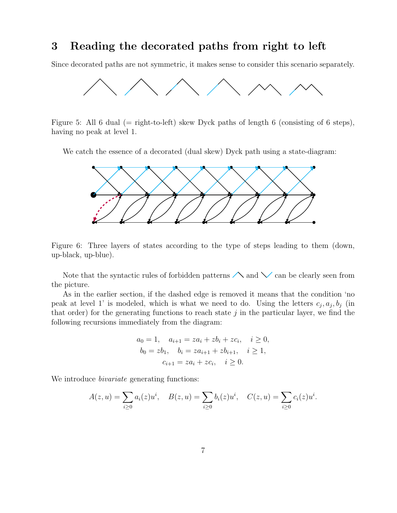### 3 Reading the decorated paths from right to left

Since decorated paths are not symmetric, it makes sense to consider this scenario separately.



Figure 5: All 6 dual (= right-to-left) skew Dyck paths of length 6 (consisting of 6 steps), having no peak at level 1.

We catch the essence of a decorated (dual skew) Dyck path using a state-diagram:



Figure 6: Three layers of states according to the type of steps leading to them (down, up-black, up-blue).

Note that the syntactic rules of forbidden patterns  $\triangle$  and  $\vee$  can be clearly seen from the picture.

As in the earlier section, if the dashed edge is removed it means that the condition 'no peak at level 1' is modeled, which is what we need to do. Using the letters  $c_j, a_j, b_j$  (in that order) for the generating functions to reach state  $j$  in the particular layer, we find the following recursions immediately from the diagram:

$$
a_0 = 1, \quad a_{i+1} = za_i + zb_i + zc_i, \quad i \ge 0,
$$
  
\n
$$
b_0 = zb_1, \quad b_i = za_{i+1} + zb_{i+1}, \quad i \ge 1,
$$
  
\n
$$
c_{i+1} = za_i + zc_i, \quad i \ge 0.
$$

We introduce *bivariate* generating functions:

$$
A(z, u) = \sum_{i \ge 0} a_i(z)u^i, \quad B(z, u) = \sum_{i \ge 0} b_i(z)u^i, \quad C(z, u) = \sum_{i \ge 0} c_i(z)u^i.
$$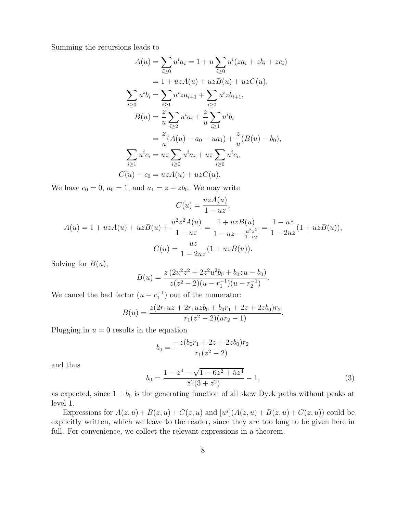Summing the recursions leads to

$$
A(u) = \sum_{i\geq 0} u^i a_i = 1 + u \sum_{i\geq 0} u^i (z a_i + z b_i + z c_i)
$$
  
\n
$$
= 1 + u z A(u) + u z B(u) + u z C(u),
$$
  
\n
$$
\sum_{i\geq 0} u^i b_i = \sum_{i\geq 1} u^i z a_{i+1} + \sum_{i\geq 0} u^i z b_{i+1},
$$
  
\n
$$
B(u) = \frac{z}{u} \sum_{i\geq 2} u^i a_i + \frac{z}{u} \sum_{i\geq 1} u^i b_i
$$
  
\n
$$
= \frac{z}{u} (A(u) - a_0 - u a_1) + \frac{z}{u} (B(u) - b_0),
$$
  
\n
$$
\sum_{i\geq 1} u^i c_i = u z \sum_{i\geq 0} u^i a_i + u z \sum_{i\geq 0} u^i c_i,
$$
  
\n
$$
C(u) - c_0 = u z A(u) + u z C(u).
$$

We have  $c_0 = 0$ ,  $a_0 = 1$ , and  $a_1 = z + zb_0$ . We may write

$$
C(u) = \frac{uzA(u)}{1 - uz},
$$
  
\n
$$
A(u) = 1 + uzA(u) + uzB(u) + \frac{u^2z^2A(u)}{1 - uz} = \frac{1 + uzB(u)}{1 - uz - \frac{u^2z^2}{1 - uz}} = \frac{1 - uz}{1 - 2uz}(1 + uzB(u)),
$$
  
\n
$$
C(u) = \frac{uz}{1 - 2uz}(1 + uzB(u)).
$$

Solving for  $B(u)$ ,

$$
B(u) = \frac{z(2u^2z^2 + 2z^2u^2b_0 + b_0zu - b_0)}{z(z^2 - 2)(u - r_1^{-1})(u - r_2^{-1})}.
$$

We cancel the bad factor  $(u - r_1^{-1})$  out of the numerator:

$$
B(u) = \frac{z(2r_1uz + 2r_1uzb_0 + b_0r_1 + 2z + 2zb_0)r_2}{r_1(z^2 - 2)(ur_2 - 1)}.
$$

Plugging in  $u = 0$  results in the equation

$$
b_0 = \frac{-z(b_0r_1 + 2z + 2zb_0)r_2}{r_1(z^2 - 2)}
$$

and thus

<span id="page-7-0"></span>
$$
b_0 = \frac{1 - z^4 - \sqrt{1 - 6z^2 + 5z^4}}{z^2(3 + z^2)} - 1,
$$
\n(3)

as expected, since  $1 + b_0$  is the generating function of all skew Dyck paths without peaks at level 1.

Expressions for  $A(z, u) + B(z, u) + C(z, u)$  and  $[u^j](A(z, u) + B(z, u) + C(z, u))$  could be explicitly written, which we leave to the reader, since they are too long to be given here in full. For convenience, we collect the relevant expressions in a theorem.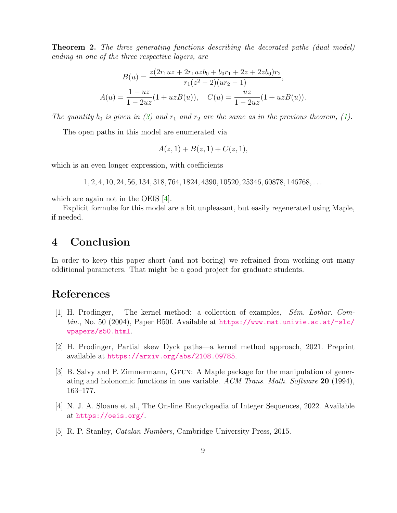Theorem 2. *The three generating functions describing the decorated paths (dual model) ending in one of the three respective layers, are*

$$
B(u) = \frac{z(2r_1uz + 2r_1uzb_0 + b_0r_1 + 2z + 2zb_0)r_2}{r_1(z^2 - 2)(ur_2 - 1)},
$$
  

$$
A(u) = \frac{1 - uz}{1 - 2uz}(1 + uzB(u)), \quad C(u) = \frac{uz}{1 - 2uz}(1 + uzB(u)).
$$

*The quantity*  $b_0$  *is given in* [\(3\)](#page-7-0) and  $r_1$  *and*  $r_2$  *are the same as in the previous theorem,* [\(1\)](#page-3-0)*.* 

The open paths in this model are enumerated via

$$
A(z,1) + B(z,1) + C(z,1),
$$

which is an even longer expression, with coefficients

1, 2, 4, 10, 24, 56, 134, 318, 764, 1824, 4390, 10520, 25346, 60878, 146768, . . .

which are again not in the OEIS [\[4\]](#page-8-4).

Explicit formulæ for this model are a bit unpleasant, but easily regenerated using Maple, if needed.

### 4 Conclusion

In order to keep this paper short (and not boring) we refrained from working out many additional parameters. That might be a good project for graduate students.

## <span id="page-8-2"></span>References

- [1] H. Prodinger, The kernel method: a collection of examples, *S´em. Lothar. Combin.*, No. 50 (2004), Paper B50f. Available at [https://www.mat.univie.ac.at/~slc/](https://www.mat.univie.ac.at/~slc/wpapers/s50.html) [wpapers/s50.html](https://www.mat.univie.ac.at/~slc/wpapers/s50.html).
- <span id="page-8-1"></span>[2] H. Prodinger, Partial skew Dyck paths—a kernel method approach, 2021. Preprint available at <https://arxiv.org/abs/2108.09785>.
- <span id="page-8-3"></span>[3] B. Salvy and P. Zimmermann, GFUN: A Maple package for the manipulation of generating and holonomic functions in one variable. *ACM Trans. Math. Software* 20 (1994), 163–177.
- <span id="page-8-4"></span>[4] N. J. A. Sloane et al., The On-line Encyclopedia of Integer Sequences, 2022. Available at <https://oeis.org/>.
- <span id="page-8-0"></span>[5] R. P. Stanley, *Catalan Numbers*, Cambridge University Press, 2015.